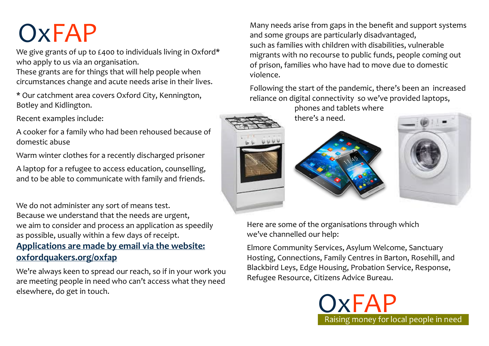We give grants of up to £400 to individuals living in Oxford\* who apply to us via an organisation.

These grants are for things that will help people when circumstances change and acute needs arise in their lives.

\* Our catchment area covers Oxford City, Kennington, Botley and Kidlington.

Recent examples include:

A cooker for a family who had been rehoused because of domestic abuse

Warm winter clothes for a recently discharged prisoner

A laptop for a refugee to access education, counselling, and to be able to communicate with family and friends.

We do not administer any sort of means test. Because we understand that the needs are urgent, we aim to consider and process an application as speedily as possible, usually within a few days of receipt.

### **Applications are made by email via the website: oxfordquakers.org/oxfap**

We're always keen to spread our reach, so if in your work you are meeting people in need who can't access what they need elsewhere, do get in touch.

Many needs arise from gaps in the benefit and support systems<br>and some groups are particularly disadvantaged, and some groups are particularly disadvantaged, such as families with children with disabilities, vulnerable migrants with no recourse to public funds, people coming out of prison, families who have had to move due to domestic violence.

> Following the start of the pandemic, there's been an increased reliance on digital connectivity so we've provided laptops,

phones and tablets where there's a need.





Here are some of the organisations through which we've channelled our help:

Elmore Community Services, Asylum Welcome, Sanctuary Hosting, Connections, Family Centres in Barton, Rosehill, and Blackbird Leys, Edge Housing, Probation Service, Response, Refugee Resource, Citizens Advice Bureau.

Raising money for local people in need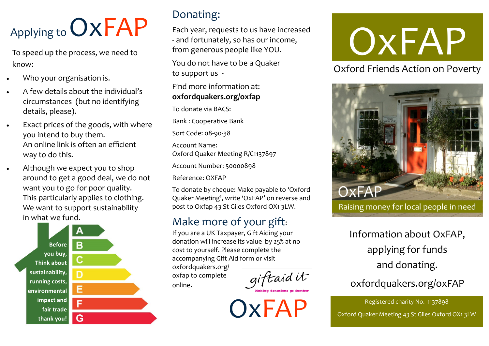## Applying to OXFAP

To speed up the process, we need to know:

- Who your organisation is.
- A few details about the individual's circumstances (but no identifying details, please).
- Exact prices of the goods, with where you intend to buy them. An online link is often an efficient way to do this.
- Although we expect you to shop around to get a good deal, we do not want you to go for poor quality. This particularly applies to clothing. We want to support sustainability in what we fund.



### Donating:

Each year, requests to us have increased - and fortunately, so has our income, from generous people like YOU.

You do not have to be a Quaker to support us -

### Find more information at: **oxfordquakers.org/oxfap**

To donate via BACS:

Bank : Cooperative Bank

Sort Code: 08-90-38

Account Name: Oxford Quaker Meeting R/C1137897

Account Number: 50000898

Reference: OXFAP

To donate by cheque: Make payable to 'Oxford Quaker Meeting', write 'OxFAP' on reverse and post to Oxfap 43 St Giles Oxford OX1 3LW.

### Make more of your gift:

If you are a UK Taxpayer, Gift Aiding your donation will increase its value by 25% at no cost to yourself. Please complete the accompanying Gift Aid form or visit

oxfordquakers.org/ oxfap to complete online.

giftaid it

# OxFAP

Oxford Friends Action on Poverty



Information about OxFAP, applying for funds and donating.

### oxfordquakers.org/oxFAP

Registered charity No. 1137898<br>Oxford Quaker Meeting 43 St Giles Oxford OX1 3LW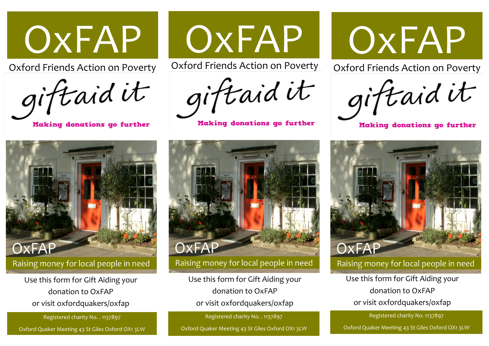

Oxford Friends Action on Poverty



Making donations go further



Oxford Friends Action on Poverty

giftaid it

Making donations go further



Oxford Friends Action on Poverty

giftaid it

Making donations go further



Raising money for local people in need

Use this form for Gift Aiding your donation to OxFAP or visit oxfordquakers/oxfap

Registered charity No. 1137897

Oxford Quaker Meeting 43 St Giles Oxford OX1 3LW



Use this form for Gift Aiding your donation to OxFAP or visit oxfordquakers/oxfap

Registered charity No. . 1137897

Oxford Quaker Meeting 43 St Giles Oxford OX1 3LW



Use this form for Gift Aiding your donation to OxFAP or visit oxfordquakers/oxfap

Registered charity No. . 1137897

Oxford Quaker Meeting 43 St Giles Oxford OX1 3LW